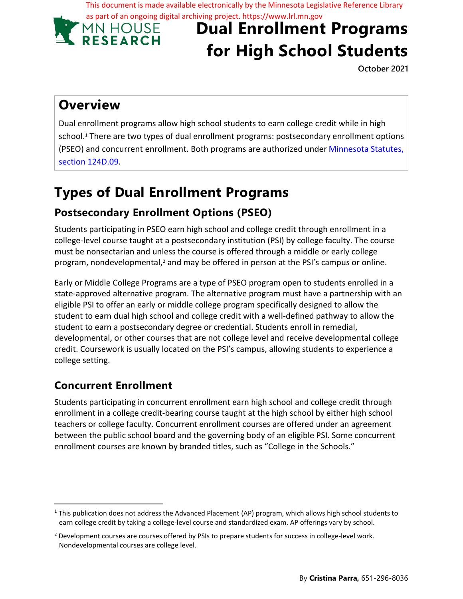This document is made available electronically by the Minnesota Legislative Reference Library as part of an ongoing digital archiving project. https://www.lrl.mn.gov

**MN HOUSE** 

# **Dual Enrollment Programs for High School Students**

**October 2021**

### **Overview**

Dual enrollment programs allow high school students to earn college credit while in high school.<sup>1</sup> There are two types of dual enrollment programs: postsecondary enrollment options (PSEO) and concurrent enrollment. Both programs are authorized under Minnesota Statutes, section 124D.09.

## **Types of Dual Enrollment Programs**

#### **Postsecondary Enrollment Options (PSEO)**

Students participating in PSEO earn high school and college credit through enrollment in a college-level course taught at a postsecondary institution (PSI) by college faculty. The course must be nonsectarian and unless the course is offered through a middle or early college program, nondevelopmental,<sup>2</sup> and may be offered in person at the PSI's campus or online.

Early or Middle College Programs are a type of PSEO program open to students enrolled in a state-approved alternative program. The alternative program must have a partnership with an eligible PSI to offer an early or middle college program specifically designed to allow the student to earn dual high school and college credit with a well-defined pathway to allow the student to earn a postsecondary degree or credential. Students enroll in remedial, developmental, or other courses that are not college level and receive developmental college credit. Coursework is usually located on the PSI's campus, allowing students to experience a college setting.

#### **Concurrent Enrollment**

Students participating in concurrent enrollment earn high school and college credit through enrollment in a college credit-bearing course taught at the high school by either high school teachers or college faculty. Concurrent enrollment courses are offered under an agreement between the public school board and the governing body of an eligible PSI. Some concurrent enrollment courses are known by branded titles, such as "College in the Schools."

<sup>1</sup> This publication does not address the Advanced Placement (AP) program, which allows high school students to earn college credit by taking a college-level course and standardized exam. AP offerings vary by school.

<sup>&</sup>lt;sup>2</sup> Development courses are courses offered by PSIs to prepare students for success in college-level work. Nondevelopmental courses are college level.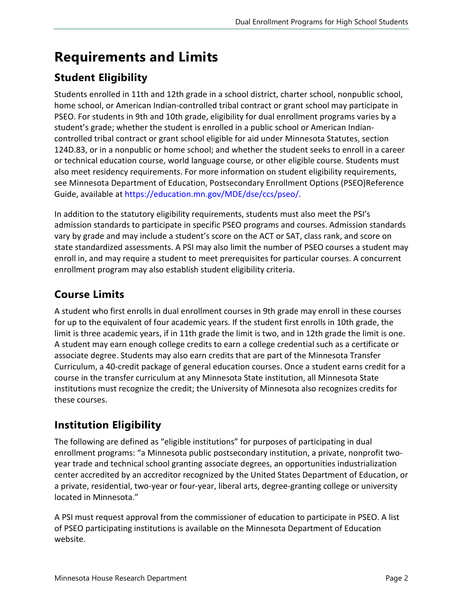### **Requirements and Limits**

#### **Student Eligibility**

Students enrolled in 11th and 12th grade in a school district, charter school, nonpublic school, home school, or American Indian-controlled tribal contract or grant school may participate in PSEO. For students in 9th and 10th grade, eligibility for dual enrollment programs varies by a student's grade; whether the student is enrolled in a public school or American Indiancontrolled tribal contract or grant school eligible for aid under Minnesota Statutes, section 124D.83, or in a nonpublic or home school; and whether the student seeks to enroll in a career or technical education course, world language course, or other eligible course. Students must also meet residency requirements. For more information on student eligibility requirements, see Minnesota Department of Education, Postsecondary Enrollment Options (PSEO)Reference Guide, available at <https://education.mn.gov/MDE/dse/ccs/pseo/>.

In addition to the statutory eligibility requirements, students must also meet the PSI's admission standards to participate in specific PSEO programs and courses. Admission standards vary by grade and may include a student's score on the ACT or SAT, class rank, and score on state standardized assessments. A PSI may also limit the number of PSEO courses a student may enroll in, and may require a student to meet prerequisites for particular courses. A concurrent enrollment program may also establish student eligibility criteria.

#### **Course Limits**

A student who first enrolls in dual enrollment courses in 9th grade may enroll in these courses for up to the equivalent of four academic years. If the student first enrolls in 10th grade, the limit is three academic years, if in 11th grade the limit is two, and in 12th grade the limit is one. A student may earn enough college credits to earn a college credential such as a certificate or associate degree. Students may also earn credits that are part of the Minnesota Transfer Curriculum, a 40-credit package of general education courses. Once a student earns credit for a course in the transfer curriculum at any Minnesota State institution, all Minnesota State institutions must recognize the credit; the University of Minnesota also recognizes credits for these courses.

#### **Institution Eligibility**

The following are defined as "eligible institutions" for purposes of participating in dual enrollment programs: "a Minnesota public postsecondary institution, a private, nonprofit twoyear trade and technical school granting associate degrees, an opportunities industrialization center accredited by an accreditor recognized by the United States Department of Education, or a private, residential, two-year or four-year, liberal arts, degree-granting college or university located in Minnesota."

A PSI must request approval from the commissioner of education to participate in PSEO. A list of PSEO participating institutions is available on the Minnesota Department of Education website.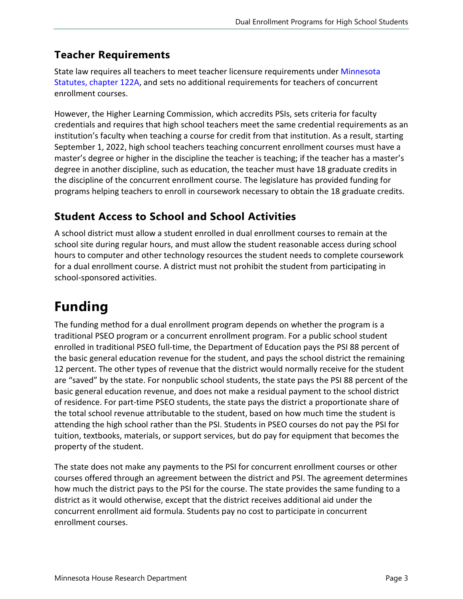#### **Teacher Requirements**

State law requires all teachers to meet teacher licensure requirements under [Minnesota](https://www.revisor.mn.gov/statutes/cite/122A) [Statutes, chapter](https://www.revisor.mn.gov/statutes/cite/122A) 122A, and sets no additional requirements for teachers of concurrent enrollment courses.

However, the Higher Learning Commission, which accredits PSIs, sets criteria for faculty credentials and requires that high school teachers meet the same credential requirements as an institution's faculty when teaching a course for credit from that institution. As a result, starting September 1, 2022, high school teachers teaching concurrent enrollment courses must have a master's degree or higher in the discipline the teacher is teaching; if the teacher has a master's degree in another discipline, such as education, the teacher must have 18 graduate credits in the discipline of the concurrent enrollment course. The legislature has provided funding for programs helping teachers to enroll in coursework necessary to obtain the 18 graduate credits.

#### **Student Access to School and School Activities**

A school district must allow a student enrolled in dual enrollment courses to remain at the school site during regular hours, and must allow the student reasonable access during school hours to computer and other technology resources the student needs to complete coursework for a dual enrollment course. A district must not prohibit the student from participating in school-sponsored activities.

## **Funding**

The funding method for a dual enrollment program depends on whether the program is a traditional PSEO program or a concurrent enrollment program. For a public school student enrolled in traditional PSEO full-time, the Department of Education pays the PSI 88 percent of the basic general education revenue for the student, and pays the school district the remaining 12 percent. The other types of revenue that the district would normally receive for the student are "saved" by the state. For nonpublic school students, the state pays the PSI 88 percent of the basic general education revenue, and does not make a residual payment to the school district of residence. For part-time PSEO students, the state pays the district a proportionate share of the total school revenue attributable to the student, based on how much time the student is attending the high school rather than the PSI. Students in PSEO courses do not pay the PSI for tuition, textbooks, materials, or support services, but do pay for equipment that becomes the property of the student.

The state does not make any payments to the PSI for concurrent enrollment courses or other courses offered through an agreement between the district and PSI. The agreement determines how much the district pays to the PSI for the course. The state provides the same funding to a district as it would otherwise, except that the district receives additional aid under the concurrent enrollment aid formula. Students pay no cost to participate in concurrent enrollment courses.